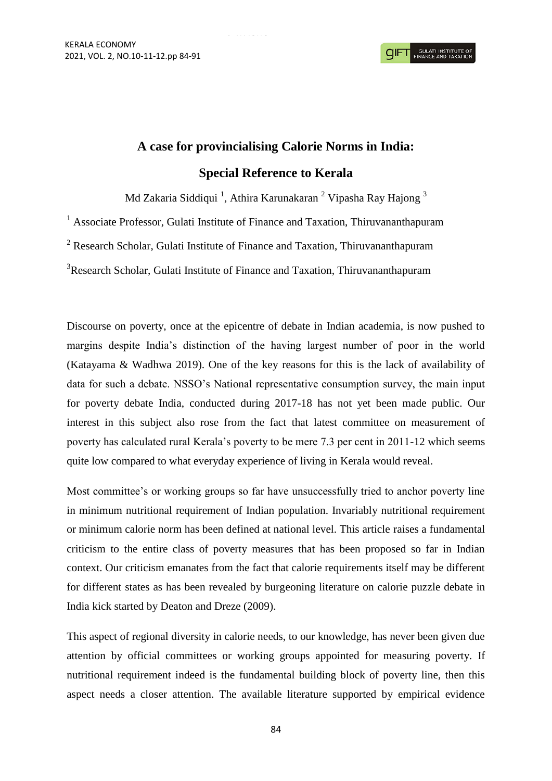## **A case for provincialising Calorie Norms in India: Special Reference to Kerala**

Md Zakaria Siddiqui <sup>1</sup>, Athira Karunakaran <sup>2</sup> Vipasha Ray Hajong <sup>3</sup>

<sup>1</sup> Associate Professor, Gulati Institute of Finance and Taxation, Thiruvananthapuram

<sup>2</sup> Research Scholar, Gulati Institute of Finance and Taxation, Thiruvananthapuram

<sup>3</sup>Research Scholar, Gulati Institute of Finance and Taxation, Thiruvananthapuram

Discourse on poverty, once at the epicentre of debate in Indian academia, is now pushed to margins despite India's distinction of the having largest number of poor in the world (Katayama & Wadhwa 2019). One of the key reasons for this is the lack of availability of data for such a debate. NSSO's National representative consumption survey, the main input for poverty debate India, conducted during 2017-18 has not yet been made public. Our interest in this subject also rose from the fact that latest committee on measurement of poverty has calculated rural Kerala's poverty to be mere 7.3 per cent in 2011-12 which seems quite low compared to what everyday experience of living in Kerala would reveal.

Most committee's or working groups so far have unsuccessfully tried to anchor poverty line in minimum nutritional requirement of Indian population. Invariably nutritional requirement or minimum calorie norm has been defined at national level. This article raises a fundamental criticism to the entire class of poverty measures that has been proposed so far in Indian context. Our criticism emanates from the fact that calorie requirements itself may be different for different states as has been revealed by burgeoning literature on calorie puzzle debate in India kick started by Deaton and Dreze (2009).

This aspect of regional diversity in calorie needs, to our knowledge, has never been given due attention by official committees or working groups appointed for measuring poverty. If nutritional requirement indeed is the fundamental building block of poverty line, then this aspect needs a closer attention. The available literature supported by empirical evidence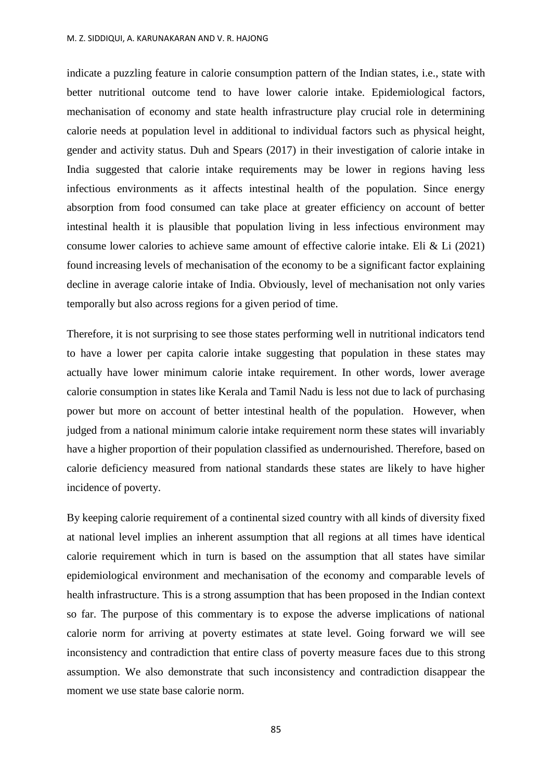indicate a puzzling feature in calorie consumption pattern of the Indian states, i.e., state with better nutritional outcome tend to have lower calorie intake. Epidemiological factors, mechanisation of economy and state health infrastructure play crucial role in determining calorie needs at population level in additional to individual factors such as physical height, gender and activity status. Duh and Spears (2017) in their investigation of calorie intake in India suggested that calorie intake requirements may be lower in regions having less infectious environments as it affects intestinal health of the population. Since energy absorption from food consumed can take place at greater efficiency on account of better intestinal health it is plausible that population living in less infectious environment may consume lower calories to achieve same amount of effective calorie intake. Eli & Li (2021) found increasing levels of mechanisation of the economy to be a significant factor explaining decline in average calorie intake of India. Obviously, level of mechanisation not only varies temporally but also across regions for a given period of time.

Therefore, it is not surprising to see those states performing well in nutritional indicators tend to have a lower per capita calorie intake suggesting that population in these states may actually have lower minimum calorie intake requirement. In other words, lower average calorie consumption in states like Kerala and Tamil Nadu is less not due to lack of purchasing power but more on account of better intestinal health of the population. However, when judged from a national minimum calorie intake requirement norm these states will invariably have a higher proportion of their population classified as undernourished. Therefore, based on calorie deficiency measured from national standards these states are likely to have higher incidence of poverty.

By keeping calorie requirement of a continental sized country with all kinds of diversity fixed at national level implies an inherent assumption that all regions at all times have identical calorie requirement which in turn is based on the assumption that all states have similar epidemiological environment and mechanisation of the economy and comparable levels of health infrastructure. This is a strong assumption that has been proposed in the Indian context so far. The purpose of this commentary is to expose the adverse implications of national calorie norm for arriving at poverty estimates at state level. Going forward we will see inconsistency and contradiction that entire class of poverty measure faces due to this strong assumption. We also demonstrate that such inconsistency and contradiction disappear the moment we use state base calorie norm.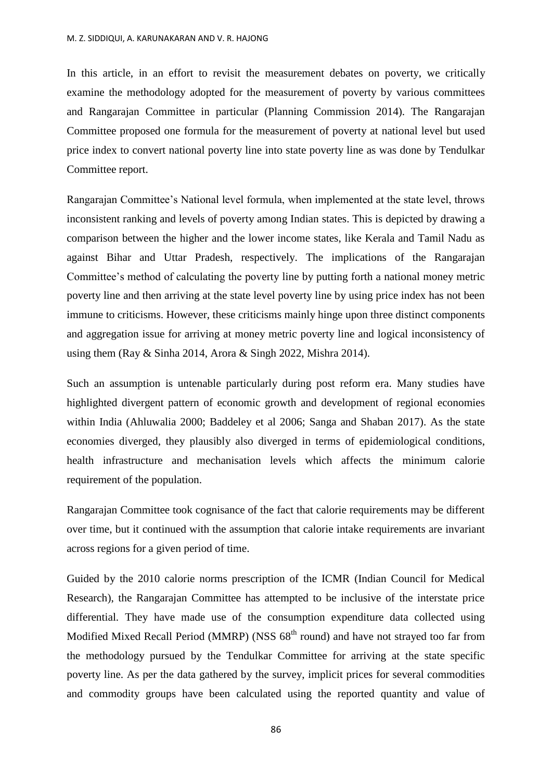In this article, in an effort to revisit the measurement debates on poverty, we critically examine the methodology adopted for the measurement of poverty by various committees and Rangarajan Committee in particular (Planning Commission 2014). The Rangarajan Committee proposed one formula for the measurement of poverty at national level but used price index to convert national poverty line into state poverty line as was done by Tendulkar Committee report.

Rangarajan Committee's National level formula, when implemented at the state level, throws inconsistent ranking and levels of poverty among Indian states. This is depicted by drawing a comparison between the higher and the lower income states, like Kerala and Tamil Nadu as against Bihar and Uttar Pradesh, respectively. The implications of the Rangarajan Committee's method of calculating the poverty line by putting forth a national money metric poverty line and then arriving at the state level poverty line by using price index has not been immune to criticisms. However, these criticisms mainly hinge upon three distinct components and aggregation issue for arriving at money metric poverty line and logical inconsistency of using them (Ray & Sinha 2014, Arora & Singh 2022, Mishra 2014).

Such an assumption is untenable particularly during post reform era. Many studies have highlighted divergent pattern of economic growth and development of regional economies within India (Ahluwalia 2000; Baddeley et al 2006; Sanga and Shaban 2017). As the state economies diverged, they plausibly also diverged in terms of epidemiological conditions, health infrastructure and mechanisation levels which affects the minimum calorie requirement of the population.

Rangarajan Committee took cognisance of the fact that calorie requirements may be different over time, but it continued with the assumption that calorie intake requirements are invariant across regions for a given period of time.

Guided by the 2010 calorie norms prescription of the ICMR (Indian Council for Medical Research), the Rangarajan Committee has attempted to be inclusive of the interstate price differential. They have made use of the consumption expenditure data collected using Modified Mixed Recall Period (MMRP) (NSS  $68<sup>th</sup>$  round) and have not strayed too far from the methodology pursued by the Tendulkar Committee for arriving at the state specific poverty line. As per the data gathered by the survey, implicit prices for several commodities and commodity groups have been calculated using the reported quantity and value of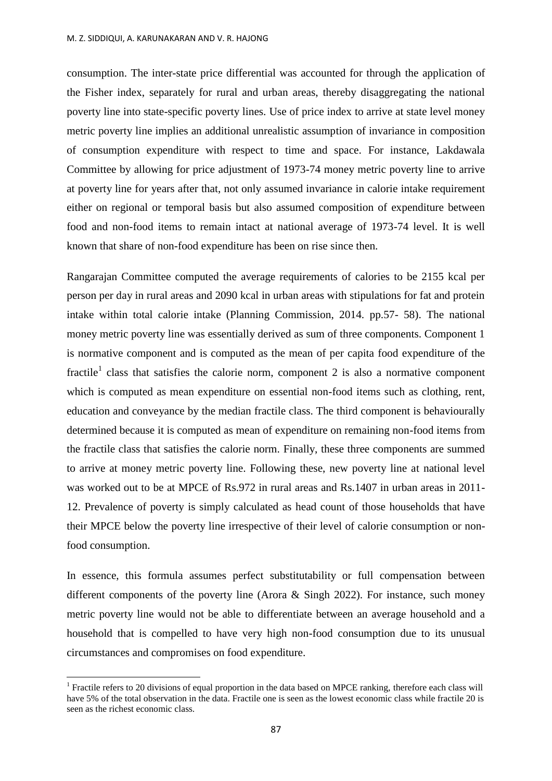consumption. The inter-state price differential was accounted for through the application of the Fisher index, separately for rural and urban areas, thereby disaggregating the national poverty line into state-specific poverty lines. Use of price index to arrive at state level money metric poverty line implies an additional unrealistic assumption of invariance in composition of consumption expenditure with respect to time and space. For instance, Lakdawala Committee by allowing for price adjustment of 1973-74 money metric poverty line to arrive at poverty line for years after that, not only assumed invariance in calorie intake requirement either on regional or temporal basis but also assumed composition of expenditure between food and non-food items to remain intact at national average of 1973-74 level. It is well known that share of non-food expenditure has been on rise since then.

Rangarajan Committee computed the average requirements of calories to be 2155 kcal per person per day in rural areas and 2090 kcal in urban areas with stipulations for fat and protein intake within total calorie intake (Planning Commission, 2014. pp.57- 58). The national money metric poverty line was essentially derived as sum of three components. Component 1 is normative component and is computed as the mean of per capita food expenditure of the fractile<sup>1</sup> class that satisfies the calorie norm, component 2 is also a normative component which is computed as mean expenditure on essential non-food items such as clothing, rent, education and conveyance by the median fractile class. The third component is behaviourally determined because it is computed as mean of expenditure on remaining non-food items from the fractile class that satisfies the calorie norm. Finally, these three components are summed to arrive at money metric poverty line. Following these, new poverty line at national level was worked out to be at MPCE of Rs.972 in rural areas and Rs.1407 in urban areas in 2011- 12. Prevalence of poverty is simply calculated as head count of those households that have their MPCE below the poverty line irrespective of their level of calorie consumption or nonfood consumption.

In essence, this formula assumes perfect substitutability or full compensation between different components of the poverty line (Arora  $\&$  Singh 2022). For instance, such money metric poverty line would not be able to differentiate between an average household and a household that is compelled to have very high non-food consumption due to its unusual circumstances and compromises on food expenditure.

 $\overline{\phantom{a}}$ 

<sup>&</sup>lt;sup>1</sup> Fractile refers to 20 divisions of equal proportion in the data based on MPCE ranking, therefore each class will have 5% of the total observation in the data. Fractile one is seen as the lowest economic class while fractile 20 is seen as the richest economic class.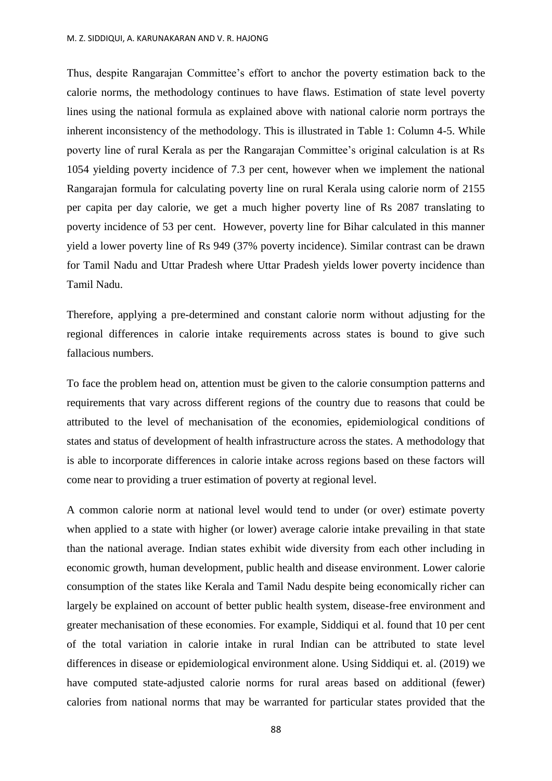Thus, despite Rangarajan Committee's effort to anchor the poverty estimation back to the calorie norms, the methodology continues to have flaws. Estimation of state level poverty lines using the national formula as explained above with national calorie norm portrays the inherent inconsistency of the methodology. This is illustrated in Table 1: Column 4-5. While poverty line of rural Kerala as per the Rangarajan Committee's original calculation is at Rs 1054 yielding poverty incidence of 7.3 per cent, however when we implement the national Rangarajan formula for calculating poverty line on rural Kerala using calorie norm of 2155 per capita per day calorie, we get a much higher poverty line of Rs 2087 translating to poverty incidence of 53 per cent. However, poverty line for Bihar calculated in this manner yield a lower poverty line of Rs 949 (37% poverty incidence). Similar contrast can be drawn for Tamil Nadu and Uttar Pradesh where Uttar Pradesh yields lower poverty incidence than Tamil Nadu.

Therefore, applying a pre-determined and constant calorie norm without adjusting for the regional differences in calorie intake requirements across states is bound to give such fallacious numbers.

To face the problem head on, attention must be given to the calorie consumption patterns and requirements that vary across different regions of the country due to reasons that could be attributed to the level of mechanisation of the economies, epidemiological conditions of states and status of development of health infrastructure across the states. A methodology that is able to incorporate differences in calorie intake across regions based on these factors will come near to providing a truer estimation of poverty at regional level.

A common calorie norm at national level would tend to under (or over) estimate poverty when applied to a state with higher (or lower) average calorie intake prevailing in that state than the national average. Indian states exhibit wide diversity from each other including in economic growth, human development, public health and disease environment. Lower calorie consumption of the states like Kerala and Tamil Nadu despite being economically richer can largely be explained on account of better public health system, disease-free environment and greater mechanisation of these economies. For example, Siddiqui et al. found that 10 per cent of the total variation in calorie intake in rural Indian can be attributed to state level differences in disease or epidemiological environment alone. Using Siddiqui et. al. (2019) we have computed state-adjusted calorie norms for rural areas based on additional (fewer) calories from national norms that may be warranted for particular states provided that the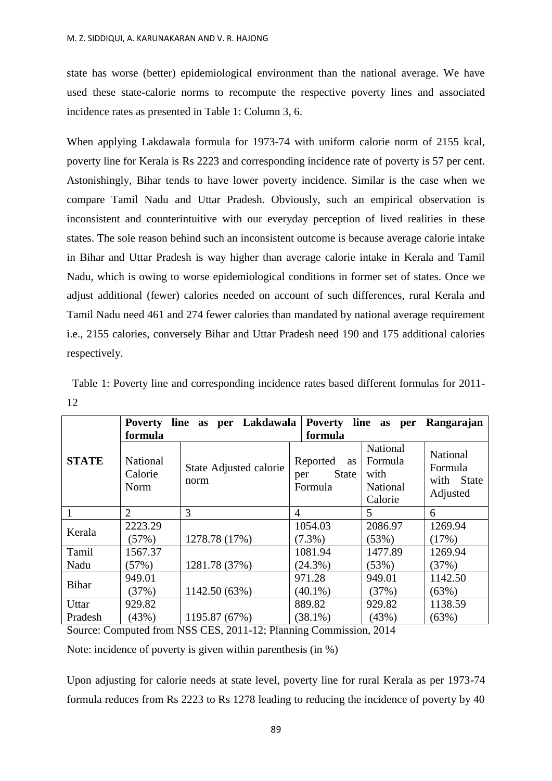state has worse (better) epidemiological environment than the national average. We have used these state-calorie norms to recompute the respective poverty lines and associated incidence rates as presented in Table 1: Column 3, 6.

When applying Lakdawala formula for 1973-74 with uniform calorie norm of 2155 kcal, poverty line for Kerala is Rs 2223 and corresponding incidence rate of poverty is 57 per cent. Astonishingly, Bihar tends to have lower poverty incidence. Similar is the case when we compare Tamil Nadu and Uttar Pradesh. Obviously, such an empirical observation is inconsistent and counterintuitive with our everyday perception of lived realities in these states. The sole reason behind such an inconsistent outcome is because average calorie intake in Bihar and Uttar Pradesh is way higher than average calorie intake in Kerala and Tamil Nadu, which is owing to worse epidemiological conditions in former set of states. Once we adjust additional (fewer) calories needed on account of such differences, rural Kerala and Tamil Nadu need 461 and 274 fewer calories than mandated by national average requirement i.e., 2155 calories, conversely Bihar and Uttar Pradesh need 190 and 175 additional calories respectively.

|              | formula                            | Poverty line as per Lakdawala  | Poverty line as<br>Rangarajan<br>per<br>formula         |                                                                  |                                               |
|--------------|------------------------------------|--------------------------------|---------------------------------------------------------|------------------------------------------------------------------|-----------------------------------------------|
| <b>STATE</b> | <b>National</b><br>Calorie<br>Norm | State Adjusted calorie<br>norm | Reported<br><b>as</b><br><b>State</b><br>per<br>Formula | <b>National</b><br>Formula<br>with<br><b>National</b><br>Calorie | National<br>Formula<br>with State<br>Adjusted |
|              | $\overline{2}$                     | 3                              | 4                                                       | 5                                                                | 6                                             |
| Kerala       | 2223.29                            |                                | 1054.03                                                 | 2086.97                                                          | 1269.94                                       |
|              | (57%)                              | 1278.78 (17%)                  | $(7.3\%)$                                               | (53%)                                                            | (17%)                                         |
| Tamil        | 1567.37                            |                                | 1081.94                                                 | 1477.89                                                          | 1269.94                                       |
| Nadu         | (57%)                              | 1281.78 (37%)                  | $(24.3\%)$                                              | (53%)                                                            | (37%)                                         |
| <b>Bihar</b> | 949.01                             |                                | 971.28                                                  | 949.01                                                           | 1142.50                                       |
|              | (37%)                              | 1142.50 (63%)                  | $(40.1\%)$                                              | (37%)                                                            | (63%)                                         |
| Uttar        | 929.82                             |                                | 889.82                                                  | 929.82                                                           | 1138.59                                       |
| Pradesh      | (43%)                              | 1195.87 (67%)                  | $(38.1\%)$                                              | (43%)                                                            | (63%)                                         |

 Table 1: Poverty line and corresponding incidence rates based different formulas for 2011- 12

Source: Computed from NSS CES, 2011-12; Planning Commission, 2014

Note: incidence of poverty is given within parenthesis (in %)

Upon adjusting for calorie needs at state level, poverty line for rural Kerala as per 1973-74 formula reduces from Rs 2223 to Rs 1278 leading to reducing the incidence of poverty by 40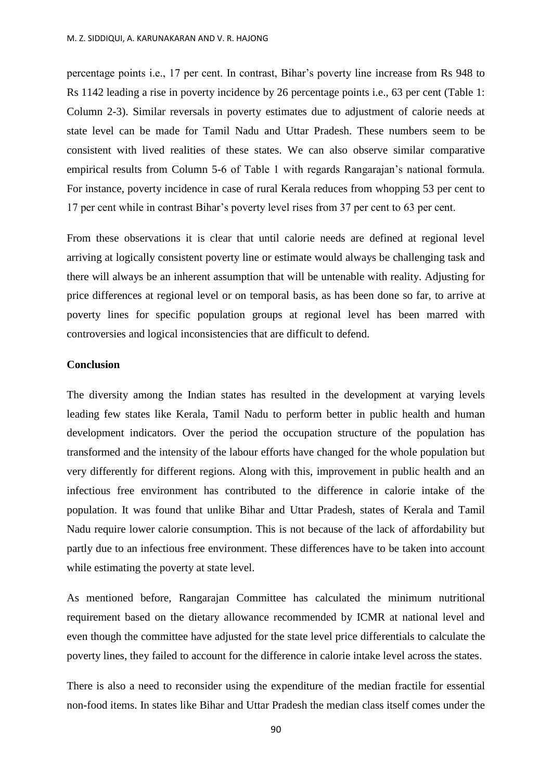percentage points i.e., 17 per cent. In contrast, Bihar's poverty line increase from Rs 948 to Rs 1142 leading a rise in poverty incidence by 26 percentage points i.e., 63 per cent (Table 1: Column 2-3). Similar reversals in poverty estimates due to adjustment of calorie needs at state level can be made for Tamil Nadu and Uttar Pradesh. These numbers seem to be consistent with lived realities of these states. We can also observe similar comparative empirical results from Column 5-6 of Table 1 with regards Rangarajan's national formula. For instance, poverty incidence in case of rural Kerala reduces from whopping 53 per cent to 17 per cent while in contrast Bihar's poverty level rises from 37 per cent to 63 per cent.

From these observations it is clear that until calorie needs are defined at regional level arriving at logically consistent poverty line or estimate would always be challenging task and there will always be an inherent assumption that will be untenable with reality. Adjusting for price differences at regional level or on temporal basis, as has been done so far, to arrive at poverty lines for specific population groups at regional level has been marred with controversies and logical inconsistencies that are difficult to defend.

## **Conclusion**

The diversity among the Indian states has resulted in the development at varying levels leading few states like Kerala, Tamil Nadu to perform better in public health and human development indicators. Over the period the occupation structure of the population has transformed and the intensity of the labour efforts have changed for the whole population but very differently for different regions. Along with this, improvement in public health and an infectious free environment has contributed to the difference in calorie intake of the population. It was found that unlike Bihar and Uttar Pradesh, states of Kerala and Tamil Nadu require lower calorie consumption. This is not because of the lack of affordability but partly due to an infectious free environment. These differences have to be taken into account while estimating the poverty at state level.

As mentioned before, Rangarajan Committee has calculated the minimum nutritional requirement based on the dietary allowance recommended by ICMR at national level and even though the committee have adjusted for the state level price differentials to calculate the poverty lines, they failed to account for the difference in calorie intake level across the states.

There is also a need to reconsider using the expenditure of the median fractile for essential non-food items. In states like Bihar and Uttar Pradesh the median class itself comes under the